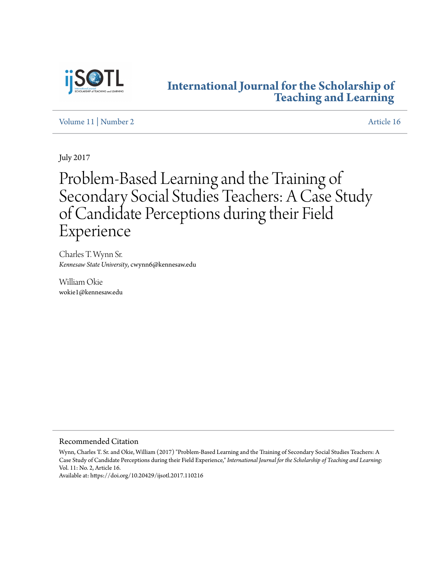

## **[International Journal for the Scholarship of](http://digitalcommons.georgiasouthern.edu/ij-sotl?utm_source=digitalcommons.georgiasouthern.edu%2Fij-sotl%2Fvol11%2Fiss2%2F16&utm_medium=PDF&utm_campaign=PDFCoverPages) [Teaching and Learning](http://digitalcommons.georgiasouthern.edu/ij-sotl?utm_source=digitalcommons.georgiasouthern.edu%2Fij-sotl%2Fvol11%2Fiss2%2F16&utm_medium=PDF&utm_campaign=PDFCoverPages)**

[Volume 11](http://digitalcommons.georgiasouthern.edu/ij-sotl/vol11?utm_source=digitalcommons.georgiasouthern.edu%2Fij-sotl%2Fvol11%2Fiss2%2F16&utm_medium=PDF&utm_campaign=PDFCoverPages) | [Number 2](http://digitalcommons.georgiasouthern.edu/ij-sotl/vol11/iss2?utm_source=digitalcommons.georgiasouthern.edu%2Fij-sotl%2Fvol11%2Fiss2%2F16&utm_medium=PDF&utm_campaign=PDFCoverPages) [Article 16](http://digitalcommons.georgiasouthern.edu/ij-sotl/vol11/iss2/16?utm_source=digitalcommons.georgiasouthern.edu%2Fij-sotl%2Fvol11%2Fiss2%2F16&utm_medium=PDF&utm_campaign=PDFCoverPages)

July 2017

# Problem-Based Learning and the Training of Secondary Social Studies Teachers: A Case Study of Candidate Perceptions during their Field Experience

Charles T. Wynn Sr. *Kennesaw State University*, cwynn6@kennesaw.edu

William Okie wokie1@kennesaw.edu

## Recommended Citation

Wynn, Charles T. Sr. and Okie, William (2017) "Problem-Based Learning and the Training of Secondary Social Studies Teachers: A Case Study of Candidate Perceptions during their Field Experience," *International Journal for the Scholarship of Teaching and Learning*: Vol. 11: No. 2, Article 16.

Available at: https://doi.org/10.20429/ijsotl.2017.110216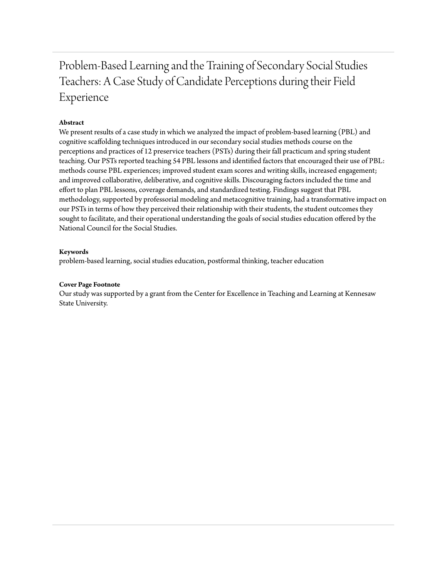## Problem-Based Learning and the Training of Secondary Social Studies Teachers: A Case Study of Candidate Perceptions during their Field Experience

## **Abstract**

We present results of a case study in which we analyzed the impact of problem-based learning (PBL) and cognitive scaffolding techniques introduced in our secondary social studies methods course on the perceptions and practices of 12 preservice teachers (PSTs) during their fall practicum and spring student teaching. Our PSTs reported teaching 54 PBL lessons and identified factors that encouraged their use of PBL: methods course PBL experiences; improved student exam scores and writing skills, increased engagement; and improved collaborative, deliberative, and cognitive skills. Discouraging factors included the time and effort to plan PBL lessons, coverage demands, and standardized testing. Findings suggest that PBL methodology, supported by professorial modeling and metacognitive training, had a transformative impact on our PSTs in terms of how they perceived their relationship with their students, the student outcomes they sought to facilitate, and their operational understanding the goals of social studies education offered by the National Council for the Social Studies.

## **Keywords**

problem-based learning, social studies education, postformal thinking, teacher education

## **Cover Page Footnote**

Our study was supported by a grant from the Center for Excellence in Teaching and Learning at Kennesaw State University.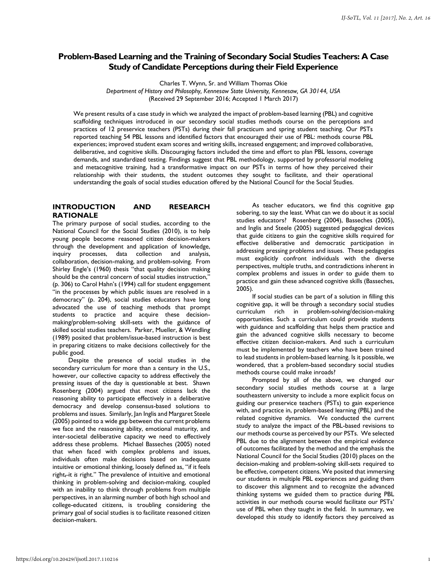## **Problem-Based Learning and the Training of Secondary Social Studies Teachers: A Case Study of Candidate Perceptions during their Field Experience**

Charles T. Wynn, Sr. and William Thomas Okie

*Department of History and Philosophy, Kennesaw State University, Kennesaw, GA 30144, USA*  (Received 29 September 2016; Accepted 1 March 2017)

We present results of a case study in which we analyzed the impact of problem-based learning (PBL) and cognitive scaffolding techniques introduced in our secondary social studies methods course on the perceptions and practices of 12 preservice teachers (PSTs) during their fall practicum and spring student teaching. Our PSTs reported teaching 54 PBL lessons and identified factors that encouraged their use of PBL: methods course PBL experiences; improved student exam scores and writing skills, increased engagement; and improved collaborative, deliberative, and cognitive skills. Discouraging factors included the time and effort to plan PBL lessons, coverage demands, and standardized testing. Findings suggest that PBL methodology, supported by professorial modeling and metacognitive training, had a transformative impact on our PSTs in terms of how they perceived their relationship with their students, the student outcomes they sought to facilitate, and their operational understanding the goals of social studies education offered by the National Council for the Social Studies.

## **INTRODUCTION AND RESEARCH RATIONALE**

The primary purpose of social studies, according to the National Council for the Social Studies (2010), is to help young people become reasoned citizen decision-makers through the development and application of knowledge, inquiry processes, data collection and analysis, collaboration, decision-making, and problem-solving. From Shirley Engle's (1960) thesis "that quality decision making should be the central concern of social studies instruction, (p. 306) to Carol Hahn's (1994) call for student engagement "in the processes by which public issues are resolved in a democracy" (p. 204), social studies educators have long advocated the use of teaching methods that prompt students to practice and acquire these decisionmaking/problem-solving skill-sets with the guidance of skilled social studies teachers. Parker, Mueller, & Wendling (1989) posited that problem/issue-based instruction is best in preparing citizens to make decisions collectively for the public good.

Despite the presence of social studies in the secondary curriculum for more than a century in the U.S., however, our collective capacity to address effectively the pressing issues of the day is questionable at best. Shawn Rosenberg (2004) argued that most citizens lack the reasoning ability to participate effectively in a deliberative democracy and develop consensus-based solutions to problems and issues. Similarly, Jan Inglis and Margaret Steele (2005) pointed to a wide gap between the current problems we face and the reasoning ability, emotional maturity, and inter-societal deliberative capacity we need to effectively address these problems. Michael Basseches (2005) noted that when faced with complex problems and issues, individuals often make decisions based on inadequate intuitive or emotional thinking, loosely defined as, "if it feels right,-it is right." The prevalence of intuitive and emotional thinking in problem-solving and decision-making, coupled with an inability to think through problems from multiple perspectives, in an alarming number of both high school and college-educated citizens, is troubling considering the primary goal of social studies is to facilitate reasoned citizen decision-makers.

As teacher educators, we find this cognitive gap sobering, to say the least. What can we do about it as social studies educators? Rosenberg (2004), Basseches (2005), and Inglis and Steele (2005) suggested pedagogical devices that guide citizens to gain the cognitive skills required for effective deliberative and democratic participation in addressing pressing problems and issues. These pedagogies must explicitly confront individuals with the diverse perspectives, multiple truths, and contradictions inherent in complex problems and issues in order to guide them to practice and gain these advanced cognitive skills (Basseches, 2005).

If social studies can be part of a solution in filling this cognitive gap, it will be through a secondary social studies curriculum rich in problem-solving/decision-making opportunities. Such a curriculum could provide students with guidance and scaffolding that helps them practice and gain the advanced cognitive skills necessary to become effective citizen decision-makers. And such a curriculum must be implemented by teachers who have been trained to lead students in problem-based learning. Is it possible, we wondered, that a problem-based secondary social studies methods course could make inroads?

Prompted by all of the above, we changed our secondary social studies methods course at a large southeastern university to include a more explicit focus on guiding our preservice teachers (PSTs) to gain experience with, and practice in, problem-based learning (PBL) and the related cognitive dynamics. We conducted the current study to analyze the impact of the PBL-based revisions to our methods course as perceived by our PSTs. We selected PBL due to the alignment between the empirical evidence of outcomes facilitated by the method and the emphasis the National Council for the Social Studies (2010) places on the decision-making and problem-solving skill-sets required to be effective, competent citizens. We posited that immersing our students in multiple PBL experiences and guiding them to discover this alignment and to recognize the advanced thinking systems we guided them to practice during PBL activities in our methods course would facilitate our PSTs' use of PBL when they taught in the field. In summary, we developed this study to identify factors they perceived as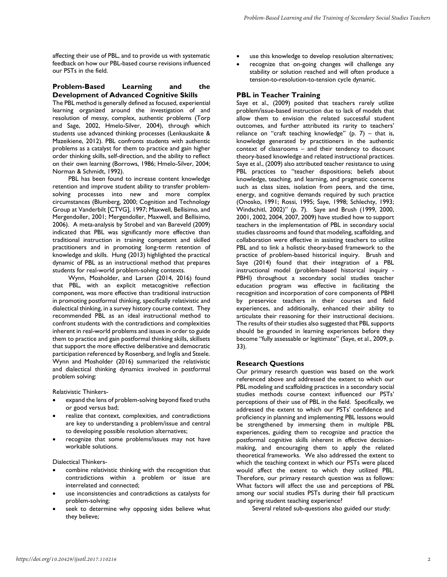affecting their use of PBL, and to provide us with systematic feedback on how our PBL-based course revisions influenced our PSTs in the field.

## **Problem-Based Learning and the Development of Advanced Cognitive Skills**

The PBL method is generally defined as focused, experiential learning organized around the investigation of and resolution of messy, complex, authentic problems (Torp and Sage, 2002, Hmelo-Silver, 2004), through which students use advanced thinking processes (Lenkauskaite & Mazeikiene, 2012). PBL confronts students with authentic problems as a catalyst for them to practice and gain higher order thinking skills, self-direction, and the ability to reflect on their own learning (Borrows, 1986; Hmelo-Silver, 2004; Norman & Schmidt, 1992).

PBL has been found to increase content knowledge retention and improve student ability to transfer problemsolving processes into new and more complex circumstances (Blumberg, 2000; Cognition and Technology Group at Vanderbilt [CTVG], 1997; Maxwell, Bellisimo, and Mergendoller, 2001; Mergendoller, Maxwell, and Bellisimo, 2006). A meta-analysis by Strobel and van Bareveld (2009) indicated that PBL was significantly more effective than traditional instruction in training competent and skilled practitioners and in promoting long-term retention of knowledge and skills. Hung (2013) highlighted the practical dynamic of PBL as an instructional method that prepares students for real-world problem-solving contexts.

Wynn, Mosholder, and Larsen (2014, 2016) found that PBL, with an explicit metacognitive reflection component, was more effective than traditional instruction in promoting postformal thinking, specifically relativistic and dialectical thinking, in a survey history course context. They recommended PBL as an ideal instructional method to confront students with the contradictions and complexities inherent in real-world problems and issues in order to guide them to practice and gain postformal thinking skills, skillsets that support the more effective deliberative and democratic participation referenced by Rosenberg, and Inglis and Steele. Wynn and Mosholder (2016) summarized the relativistic and dialectical thinking dynamics involved in postformal problem solving:

Relativistic Thinkers-

- expand the lens of problem-solving beyond fixed truths or good versus bad;
- realize that context, complexities, and contradictions are key to understanding a problem/issue and central to developing possible resolution alternatives;
- recognize that some problems/issues may not have workable solutions.

Dialectical Thinkers-

- combine relativistic thinking with the recognition that contradictions within a problem or issue are interrelated and connected;
- use inconsistencies and contradictions as catalysts for problem-solving;
- seek to determine why opposing sides believe what they believe;
- use this knowledge to develop resolution alternatives;
- recognize that on-going changes will challenge any stability or solution reached and will often produce a tension-to-resolution-to-tension cycle dynamic.

## **PBL in Teacher Training**

Saye et al., (2009) posited that teachers rarely utilize problem/issue-based instruction due to lack of models that allow them to envision the related successful student outcomes, and further attributed its rarity to teachers' reliance on "craft teaching knowledge"  $(p. 7)$  – that is, knowledge generated by practitioners in the authentic context of classrooms – and their tendency to discount theory-based knowledge and related instructional practices. Saye et al., (2009) also attributed teacher resistance to using PBL practices to "teacher dispositions; beliefs about knowledge, teaching, and learning, and pragmatic concerns such as class sizes, isolation from peers, and the time, energy, and cognitive demands required by such practice (Onosko, 1991; Rossi, 1995; Saye, 1998; Schlechty, 1993; Windschitl, 2002)" (p. 7). Saye and Brush (1999, 2000, 2001, 2002, 2004, 2007, 2009) have studied how to support teachers in the implementation of PBL in secondary social studies classrooms and found that modeling, scaffolding, and collaboration were effective in assisting teachers to utilize PBL and to link a holistic theory-based framework to the practice of problem-based historical inquiry. Brush and Saye (2014) found that their integration of a PBL instructional model (problem-based historical inquiry - PBHI) throughout a secondary social studies teacher education program was effective in facilitating the recognition and incorporation of core components of PBHI by preservice teachers in their courses and field experiences, and additionally, enhanced their ability to articulate their reasoning for their instructional decisions. The results of their studies also suggested that PBL supports should be grounded in learning experiences before they become "fully assessable or legitimate" (Saye, et al., 2009, p. 33).

## **Research Questions**

Our primary research question was based on the work referenced above and addressed the extent to which our PBL modeling and scaffolding practices in a secondary social studies methods course context influenced our PSTs' perceptions of their use of PBL in the field. Specifically, we addressed the extent to which our PSTs' confidence and proficiency in planning and implementing PBL lessons would be strengthened by immersing them in multiple PBL experiences, guiding them to recognize and practice the postformal cognitive skills inherent in effective decisionmaking, and encouraging them to apply the related theoretical frameworks. We also addressed the extent to which the teaching context in which our PSTs were placed would affect the extent to which they utilized PBL. Therefore, our primary research question was as follows: What factors will affect the use and perceptions of PBL among our social studies PSTs during their fall practicum and spring student teaching experience?

Several related sub-questions also guided our study: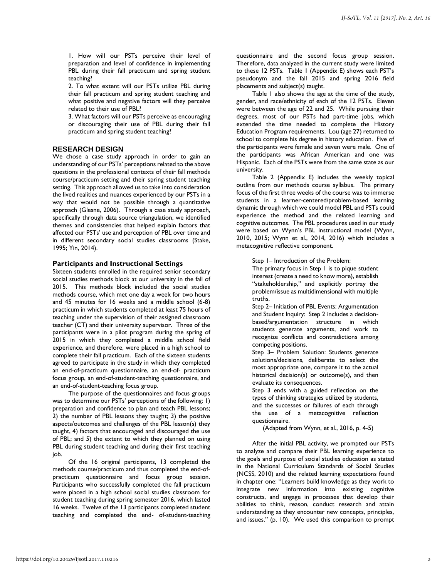1. How will our PSTs perceive their level of preparation and level of confidence in implementing PBL during their fall practicum and spring student teaching?

2. To what extent will our PSTs utilize PBL during their fall practicum and spring student teaching and what positive and negative factors will they perceive related to their use of PBL?

3. What factors will our PSTs perceive as encouraging or discouraging their use of PBL during their fall practicum and spring student teaching?

## **RESEARCH DESIGN**

We chose a case study approach in order to gain an understanding of our PSTs' perceptions related to the above questions in the professional contexts of their fall methods course/practicum setting and their spring student teaching setting. This approach allowed us to take into consideration the lived realities and nuances experienced by our PSTs in a way that would not be possible through a quantitative approach (Glesne, 2006). Through a case study approach, specifically through data source triangulation, we identified themes and consistencies that helped explain factors that affected our PSTs' use and perception of PBL over time and in different secondary social studies classrooms (Stake, 1995; Yin, 2014).

#### **Participants and Instructional Settings**

Sixteen students enrolled in the required senior secondary social studies methods block at our university in the fall of 2015. This methods block included the social studies methods course, which met one day a week for two hours and 45 minutes for 16 weeks and a middle school (6-8) practicum in which students completed at least 75 hours of teaching under the supervision of their assigned classroom teacher (CT) and their university supervisor. Three of the participants were in a pilot program during the spring of 2015 in which they completed a middle school field experience, and therefore, were placed in a high school to complete their fall practicum. Each of the sixteen students agreed to participate in the study in which they completed an end-of-practicum questionnaire, an end-of- practicum focus group, an end-of-student-teaching questionnaire, and an end-of-student-teaching focus group.

The purpose of the questionnaires and focus groups was to determine our PSTs' perceptions of the following: 1) preparation and confidence to plan and teach PBL lessons; 2) the number of PBL lessons they taught; 3) the positive aspects/outcomes and challenges of the PBL lesson(s) they taught, 4) factors that encouraged and discouraged the use of PBL; and 5) the extent to which they planned on using PBL during student teaching and during their first teaching job.

Of the 16 original participants, 13 completed the methods course/practicum and thus completed the end-ofpracticum questionnaire and focus group session. Participants who successfully completed the fall practicum were placed in a high school social studies classroom for student teaching during spring semester 2016, which lasted 16 weeks. Twelve of the 13 participants completed student teaching and completed the end- of-student-teaching

questionnaire and the second focus group session. Therefore, data analyzed in the current study were limited to these 12 PSTs. Table 1 (Appendix E) shows each PST's pseudonym and the fall 2015 and spring 2016 field placements and subject(s) taught.

Table 1 also shows the age at the time of the study, gender, and race/ethnicity of each of the 12 PSTs. Eleven were between the age of 22 and 25. While pursuing their degrees, most of our PSTs had part-time jobs, which extended the time needed to complete the History Education Program requirements. Lou (age 27) returned to school to complete his degree in history education. Five of the participants were female and seven were male. One of the participants was African American and one was Hispanic. Each of the PSTs were from the same state as our university.

Table 2 (Appendix E) includes the weekly topical outline from our methods course syllabus. The primary focus of the first three weeks of the course was to immerse students in a learner-centered/problem-based learning dynamic through which we could model PBL and PSTs could experience the method and the related learning and cognitive outcomes. The PBL procedures used in our study were based on Wynn's PBL instructional model (Wynn, 2010, 2015; Wynn et al., 2014, 2016) which includes a metacognitive reflective component.

Step 1– Introduction of the Problem:

The primary focus in Step 1 is to pique student interest (create a need to know more), establish "stakeholdership," and explicitly portray the problem/issue as multidimensional with multiple truths.

Step 2– Initiation of PBL Events: Argumentation and Student Inquiry: Step 2 includes a decisionbased/argumentation structure in which students generate arguments, and work to recognize conflicts and contradictions among competing positions.

Step 3– Problem Solution: Students generate solutions/decisions, deliberate to select the most appropriate one, compare it to the actual historical decision(s) or outcome(s), and then evaluate its consequences.

Step 3 ends with a guided reflection on the types of thinking strategies utilized by students, and the successes or failures of each through the use of a metacognitive reflection questionnaire.

(Adapted from Wynn, et al., 2016, p. 4-5)

After the initial PBL activity, we prompted our PSTs to analyze and compare their PBL learning experience to the goals and purpose of social studies education as stated in the National Curriculum Standards of Social Studies (NCSS, 2010) and the related learning expectations found in chapter one: "Learners build knowledge as they work to integrate new information into existing cognitive constructs, and engage in processes that develop their abilities to think, reason, conduct research and attain understanding as they encounter new concepts, principles, and issues." (p. 10). We used this comparison to prompt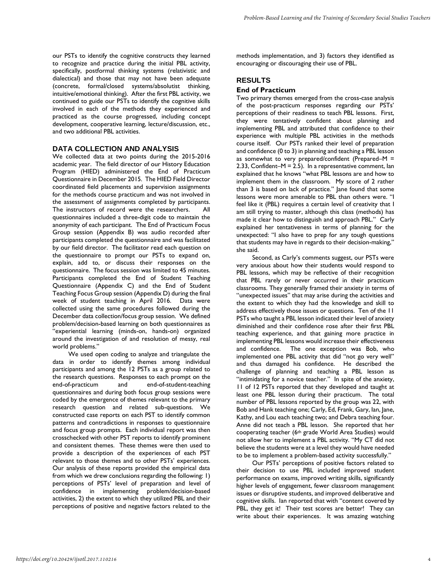our PSTs to identify the cognitive constructs they learned to recognize and practice during the initial PBL activity, specifically, postformal thinking systems (relativistic and dialectical) and those that may not have been adequate (concrete, formal/closed systems/absolutist thinking, intuitive/emotional thinking). After the first PBL activity, we continued to guide our PSTs to identify the cognitive skills involved in each of the methods they experienced and practiced as the course progressed, including concept development, cooperative learning, lecture/discussion, etc., and two additional PBL activities.

## **DATA COLLECTION AND ANALYSIS**

We collected data at two points during the 2015-2016 academic year. The field director of our History Education Program (HIED) administered the End of Practicum Questionnaire in December 2015. The HIED Field Director coordinated field placements and supervision assignments for the methods course practicum and was not involved in the assessment of assignments completed by participants. The instructors of record were the researchers. All questionnaires included a three-digit code to maintain the anonymity of each participant. The End of Practicum Focus Group session (Appendix B) was audio recorded after participants completed the questionnaire and was facilitated by our field director. The facilitator read each question on the questionnaire to prompt our PSTs to expand on, explain, add to, or discuss their responses on the questionnaire. The focus session was limited to 45 minutes. Participants completed the End of Student Teaching Questionnaire (Appendix C) and the End of Student Teaching Focus Group session (Appendix D) during the final week of student teaching in April 2016. Data were collected using the same procedures followed during the December data collection/focus group session. We defined problem/decision-based learning on both questionnaires as "experiential learning (minds-on, hands-on) organized around the investigation of and resolution of messy, real world problems."

We used open coding to analyze and triangulate the data in order to identify themes among individual participants and among the 12 PSTs as a group related to the research questions. Responses to each prompt on the end-of-practicum and end-of-student-teaching questionnaires and during both focus group sessions were coded by the emergence of themes relevant to the primary research question and related sub-questions. We constructed case reports on each PST to identify common patterns and contradictions in responses to questionnaire and focus group prompts. Each individual report was then crosschecked with other PST reports to identify prominent and consistent themes. These themes were then used to provide a description of the experiences of each PST relevant to those themes and to other PSTs' experiences. Our analysis of these reports provided the empirical data from which we drew conclusions regarding the following: 1) perceptions of PSTs' level of preparation and level of confidence in implementing problem/decision-based activities, 2) the extent to which they utilized PBL and their perceptions of positive and negative factors related to the

methods implementation, and 3) factors they identified as encouraging or discouraging their use of PBL.

#### **RESULTS**

#### **End of Practicum**

Two primary themes emerged from the cross-case analysis of the post-practicum responses regarding our PSTs' perceptions of their readiness to teach PBL lessons. First, they were tentatively confident about planning and implementing PBL and attributed that confidence to their experience with multiple PBL activities in the methods course itself. Our PSTs ranked their level of preparation and confidence (0 to 3) in planning and teaching a PBL lesson as somewhat to very prepared/confident (Prepared–M = 2.33, Confident– $M = 2.5$ ). In a representative comment, lan explained that he knows "what PBL lessons are and how to implement them in the classroom. My score of 2 rather than 3 is based on lack of practice." Jane found that some lessons were more amenable to PBL than others were. "I feel like it (PBL) requires a certain level of creativity that I am still trying to master, although this class (methods) has made it clear how to distinguish and approach PBL." Carly explained her tentativeness in terms of planning for the unexpected: "I also have to prep for any tough questions that students may have in regards to their decision-making," she said.

Second, as Carly's comments suggest, our PSTs were very anxious about how their students would respond to PBL lessons, which may be reflective of their recognition that PBL rarely or never occurred in their practicum classrooms. They generally framed their anxiety in terms of "unexpected issues" that may arise during the activities and the extent to which they had the knowledge and skill to address effectively those issues or questions. Ten of the 11 PSTs who taught a PBL lesson indicated their level of anxiety diminished and their confidence rose after their first PBL teaching experience, and that gaining more practice in implementing PBL lessons would increase their effectiveness and confidence. The one exception was Bob, who implemented one PBL activity that did "not go very well" and thus damaged his confidence. He described the challenge of planning and teaching a PBL lesson as "intimidating for a novice teacher." In spite of the anxiety, 11 of 12 PSTs reported that they developed and taught at least one PBL lesson during their practicum. The total number of PBL lessons reported by the group was 22, with Bob and Hank teaching one; Carly, Ed, Frank, Gary, Ian, Jane, Kathy, and Lou each teaching two; and Debra teaching four. Anne did not teach a PBL lesson. She reported that her cooperating teacher (6th grade World Area Studies) would not allow her to implement a PBL activity. "My CT did not believe the students were at a level they would have needed to be to implement a problem-based activity successfully."

Our PSTs' perceptions of positive factors related to their decision to use PBL included improved student performance on exams, improved writing skills, significantly higher levels of engagement, fewer classroom management issues or disruptive students, and improved deliberative and cognitive skills. Ian reported that with "content covered by PBL, they get it! Their test scores are better! They can write about their experiences. It was amazing watching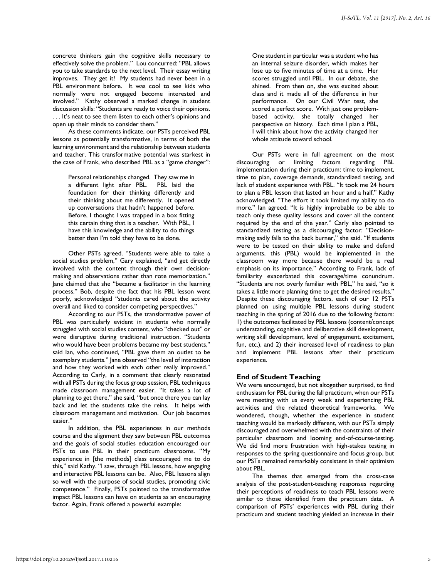concrete thinkers gain the cognitive skills necessary to effectively solve the problem." Lou concurred: "PBL allows you to take standards to the next level. Their essay writing improves. They get it! My students had never been in a PBL environment before. It was cool to see kids who normally were not engaged become interested and involved." Kathy observed a marked change in student discussion skills: "Students are ready to voice their opinions. . . . It's neat to see them listen to each other's opinions and open up their minds to consider them."

As these comments indicate, our PSTs perceived PBL lessons as potentially transformative, in terms of both the learning environment and the relationship between students and teacher. This transformative potential was starkest in the case of Frank, who described PBL as a "game changer":

Personal relationships changed. They saw me in a different light after PBL. PBL laid the foundation for their thinking differently and their thinking about me differently. It opened up conversations that hadn't happened before. Before, I thought I was trapped in a box fitting this certain thing that is a teacher. With PBL, I have this knowledge and the ability to do things better than I'm told they have to be done.

Other PSTs agreed. "Students were able to take a social studies problem," Gary explained, "and get directly involved with the content through their own decisionmaking and observations rather than rote memorization." Jane claimed that she "became a facilitator in the learning process." Bob, despite the fact that his PBL lesson went poorly, acknowledged "students cared about the activity overall and liked to consider competing perspectives."

According to our PSTs, the transformative power of PBL was particularly evident in students who normally struggled with social studies content, who "checked out" or were disruptive during traditional instruction. "Students who would have been problems became my best students," said Ian, who continued, "PBL gave them an outlet to be exemplary students." Jane observed "the level of interaction and how they worked with each other really improved." According to Carly, in a comment that clearly resonated with all PSTs during the focus group session, PBL techniques made classroom management easier. "It takes a lot of planning to get there," she said, "but once there you can lay back and let the students take the reins. It helps with classroom management and motivation. Our job becomes easier."

In addition, the PBL experiences in our methods course and the alignment they saw between PBL outcomes and the goals of social studies education encouraged our PSTs to use PBL in their practicum classrooms. "My experience in [the methods] class encouraged me to do this," said Kathy. "I saw, through PBL lessons, how engaging and interactive PBL lessons can be. Also, PBL lessons align so well with the purpose of social studies, promoting civic competence." Finally, PSTs pointed to the transformative impact PBL lessons can have on students as an encouraging factor. Again, Frank offered a powerful example:

One student in particular was a student who has an internal seizure disorder, which makes her lose up to five minutes of time at a time. Her scores struggled until PBL. In our debate, she shined. From then on, she was excited about class and it made all of the difference in her performance. On our Civil War test, she scored a perfect score. With just one problembased activity, she totally changed her perspective on history. Each time I plan a PBL, I will think about how the activity changed her whole attitude toward school.

Our PSTs were in full agreement on the most discouraging or limiting factors regarding PBL implementation during their practicum: time to implement, time to plan, coverage demands, standardized testing, and lack of student experience with PBL. "It took me 24 hours to plan a PBL lesson that lasted an hour and a half," Kathy acknowledged. "The effort it took limited my ability to do more." Ian agreed: "It is highly improbable to be able to teach only these quality lessons and cover all the content required by the end of the year." Carly also pointed to standardized testing as a discouraging factor: "Decisionmaking sadly falls to the back burner," she said. "If students were to be tested on their ability to make and defend arguments, this (PBL) would be implemented in the classroom way more because there would be a real emphasis on its importance." According to Frank, lack of familiarity exacerbated this coverage/time conundrum. "Students are not overly familiar with PBL," he said, "so it takes a little more planning time to get the desired results." Despite these discouraging factors, each of our 12 PSTs planned on using multiple PBL lessons during student teaching in the spring of 2016 due to the following factors: 1) the outcomes facilitated by PBL lessons (content/concept understanding, cognitive and deliberative skill development, writing skill development, level of engagement, excitement, fun, etc.), and 2) their increased level of readiness to plan and implement PBL lessons after their practicum experience.

## **End of Student Teaching**

We were encouraged, but not altogether surprised, to find enthusiasm for PBL during the fall practicum, when our PSTs were meeting with us every week and experiencing PBL activities and the related theoretical frameworks. We wondered, though, whether the experience in student teaching would be markedly different, with our PSTs simply discouraged and overwhelmed with the constraints of their particular classroom and looming end-of-course-testing. We did find more frustration with high-stakes testing in responses to the spring questionnaire and focus group, but our PSTs remained remarkably consistent in their optimism about PBL.

The themes that emerged from the cross-case analysis of the post-student-teaching responses regarding their perceptions of readiness to teach PBL lessons were similar to those identified from the practicum data. A comparison of PSTs' experiences with PBL during their practicum and student teaching yielded an increase in their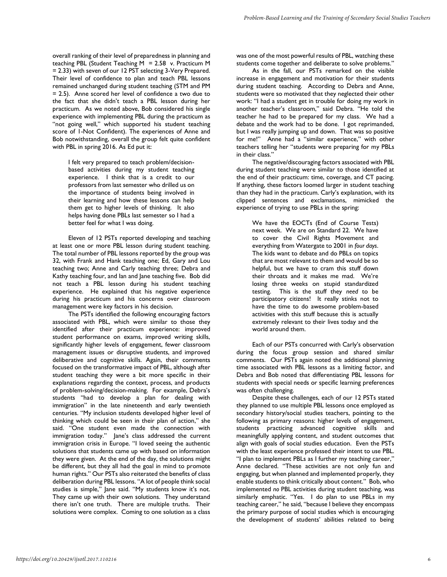overall ranking of their level of preparedness in planning and teaching PBL (Student Teaching  $M = 2.58$  v. Practicum M = 2.33) with seven of our 12 PST selecting 3-Very Prepared. Their level of confidence to plan and teach PBL lessons remained unchanged during student teaching (STM and PM = 2.5). Anne scored her level of confidence a two due to the fact that she didn't teach a PBL lesson during her practicum. As we noted above, Bob considered his single experience with implementing PBL during the practicum as "not going well," which supported his student teaching score of 1-Not Confident). The experiences of Anne and Bob notwithstanding, overall the group felt quite confident with PBL in spring 2016. As Ed put it:

I felt very prepared to teach problem/decisionbased activities during my student teaching experience. I think that is a credit to our professors from last semester who drilled us on the importance of students being involved in their learning and how these lessons can help them get to higher levels of thinking. It also helps having done PBLs last semester so I had a better feel for what I was doing.

Eleven of 12 PSTs reported developing and teaching at least one or more PBL lesson during student teaching. The total number of PBL lessons reported by the group was 32, with Frank and Hank teaching one; Ed, Gary and Lou teaching two; Anne and Carly teaching three; Debra and Kathy teaching four, and Ian and Jane teaching five. Bob did not teach a PBL lesson during his student teaching experience. He explained that his negative experience during his practicum and his concerns over classroom management were key factors in his decision.

The PSTs identified the following encouraging factors associated with PBL, which were similar to those they identified after their practicum experience: improved student performance on exams, improved writing skills, significantly higher levels of engagement, fewer classroom management issues or disruptive students, and improved deliberative and cognitive skills. Again, their comments focused on the transformative impact of PBL, although after student teaching they were a bit more specific in their explanations regarding the context, process, and products of problem-solving/decision-making. For example, Debra's students "had to develop a plan for dealing with immigration" in the late nineteenth and early twentieth centuries. "My inclusion students developed higher level of thinking which could be seen in their plan of action," she said. "One student even made the connection with immigration today." Jane's class addressed the current immigration crisis in Europe. "I loved seeing the authentic solutions that students came up with based on information they were given. At the end of the day, the solutions might be different, but they all had the goal in mind to promote human rights." Our PSTs also reiterated the benefits of class deliberation during PBL lessons. "A lot of people think social studies is simple," Jane said. "My students know it's not. They came up with their own solutions. They understand there isn't one truth. There are multiple truths. Their solutions were complex. Coming to one solution as a class

was one of the most powerful results of PBL, watching these students come together and deliberate to solve problems."

As in the fall, our PSTs remarked on the visible increase in engagement and motivation for their students during student teaching. According to Debra and Anne, students were so motivated that they neglected their other work: "I had a student get in trouble for doing my work in another teacher's classroom," said Debra. "He told the teacher he had to be prepared for my class. We had a debate and the work had to be done. I got reprimanded, but I was really jumping up and down. That was so positive for me!" Anne had a "similar experience," with other teachers telling her "students were preparing for my PBLs in their class."

The negative/discouraging factors associated with PBL during student teaching were similar to those identified at the end of their practicum: time, coverage, and CT pacing. If anything, these factors loomed larger in student teaching than they had in the practicum. Carly's explanation, with its clipped sentences and exclamations, mimicked the experience of trying to use PBLs in the spring:

We have the EOCTs (End of Course Tests) next week. We are on Standard 22. We have to cover the Civil Rights Movement and everything from Watergate to 2001 in *four days*. The kids want to debate and do PBLs on topics that are most relevant to them and would be so helpful, but we have to cram this stuff down their throats and it makes me mad. We're losing three weeks on stupid standardized testing. This is the stuff they *need* to be participatory citizens! It really stinks not to have the time to do awesome problem-based activities with this stuff because this is actually extremely relevant to their lives today and the world around them.

Each of our PSTs concurred with Carly's observation during the focus group session and shared similar comments. Our PSTs again noted the additional planning time associated with PBL lessons as a limiting factor, and Debra and Bob noted that differentiating PBL lessons for students with special needs or specific learning preferences was often challenging.

Despite these challenges, each of our 12 PSTs stated they planned to use multiple PBL lessons once employed as secondary history/social studies teachers, pointing to the following as primary reasons: higher levels of engagement, students practicing advanced cognitive skills and meaningfully applying content, and student outcomes that align with goals of social studies education. Even the PSTs with the least experience professed their intent to use PBL. "I plan to implement PBLs as I further my teaching career," Anne declared. "These activities are not only fun and engaging, but when planned and implemented properly, they enable students to think critically about content." Bob, who implemented *no* PBL activities during student teaching, was similarly emphatic. "Yes. I do plan to use PBLs in my teaching career," he said, "because I believe they encompass the primary purpose of social studies which is encouraging the development of students' abilities related to being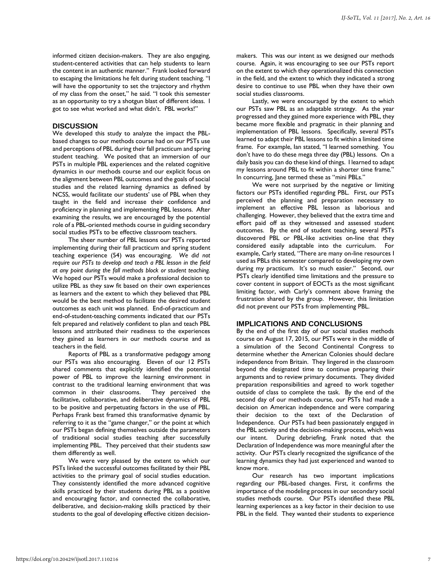informed citizen decision-makers. They are also engaging, student-centered activities that can help students to learn the content in an authentic manner." Frank looked forward to escaping the limitations he felt during student teaching. "I will have the opportunity to set the trajectory and rhythm of my class from the onset," he said. "I took this semester as an opportunity to try a shotgun blast of different ideas. I got to see what worked and what didn't. PBL works!"

#### **DISCUSSION**

We developed this study to analyze the impact the PBLbased changes to our methods course had on our PSTs use and perceptions of PBL during their fall practicum and spring student teaching. We posited that an immersion of our PSTs in multiple PBL experiences and the related cognitive dynamics in our methods course and our explicit focus on the alignment between PBL outcomes and the goals of social studies and the related learning dynamics as defined by NCSS, would facilitate our students' use of PBL when they taught in the field and increase their confidence and proficiency in planning and implementing PBL lessons. After examining the results, we are encouraged by the potential role of a PBL-oriented methods course in guiding secondary social studies PSTs to be effective classroom teachers.

The sheer number of PBL lessons our PSTs reported implementing during their fall practicum and spring student teaching experience (54) was encouraging. *We did not require our PSTs to develop and teach a PBL lesson in the field at any point during the fall methods block or student teaching.* We hoped our PSTs would make a professional decision to utilize PBL as they saw fit based on their own experiences as learners and the extent to which they believed that PBL would be the best method to facilitate the desired student outcomes as each unit was planned. End-of-practicum and end-of-student-teaching comments indicated that our PSTs felt prepared and relatively confident to plan and teach PBL lessons and attributed their readiness to the experiences they gained as learners in our methods course and as teachers in the field.

Reports of PBL as a transformative pedagogy among our PSTs was also encouraging. Eleven of our 12 PSTs shared comments that explicitly identified the potential power of PBL to improve the learning environment in contrast to the traditional learning environment that was common in their classrooms. They perceived the facilitative, collaborative, and deliberative dynamics of PBL to be positive and perpetuating factors in the use of PBL. Perhaps Frank best framed this transformative dynamic by referring to it as the "game changer," or the point at which our PSTs began defining themselves outside the parameters of traditional social studies teaching after successfully implementing PBL. They perceived that their students saw them differently as well.

We were very pleased by the extent to which our PSTs linked the successful outcomes facilitated by their PBL activities to the primary goal of social studies education. They consistently identified the more advanced cognitive skills practiced by their students during PBL as a positive and encouraging factor, and connected the collaborative, deliberative, and decision-making skills practiced by their students to the goal of developing effective citizen decisionmakers. This was our intent as we designed our methods course. Again, it was encouraging to see our PSTs report on the extent to which they operationalized this connection in the field, and the extent to which they indicated a strong desire to continue to use PBL when they have their own social studies classrooms.

Lastly, we were encouraged by the extent to which our PSTs saw PBL as an adaptable strategy. As the year progressed and they gained more experience with PBL, they became more flexible and pragmatic in their planning and implementation of PBL lessons. Specifically, several PSTs learned to adapt their PBL lessons to fit within a limited time frame. For example, Ian stated, "I learned something. You don't have to do these mega three day (PBL) lessons. On a daily basis you can do these kind of things. I learned to adapt my lessons around PBL to fit within a shorter time frame." In concurring, Jane termed these as "mini PBLs."

We were not surprised by the negative or limiting factors our PSTs identified regarding PBL. First, our PSTs perceived the planning and preparation necessary to implement an effective PBL lesson as laborious and challenging. However, they believed that the extra time and effort paid off as they witnessed and assessed student outcomes. By the end of student teaching, several PSTs discovered PBL or PBL-like activities on-line that they considered easily adaptable into the curriculum. For example, Carly stated, "There are many on-line resources I used as PBLs this semester compared to developing my own during my practicum. It's so much easier." Second, our PSTs clearly identified time limitations and the pressure to cover content in support of EOCTs as the most significant limiting factor, with Carly's comment above framing the frustration shared by the group. However, this limitation did not prevent our PSTs from implementing PBL.

#### **IMPLICATIONS AND CONCLUSIONS**

By the end of the first day of our social studies methods course on August 17, 2015, our PSTs were in the middle of a simulation of the Second Continental Congress to determine whether the American Colonies should declare independence from Britain. They lingered in the classroom beyond the designated time to continue preparing their arguments and to review primary documents. They divided preparation responsibilities and agreed to work together outside of class to complete the task. By the end of the second day of our methods course, our PSTs had made a decision on American independence and were comparing their decision to the text of the Declaration of Independence. Our PSTs had been passionately engaged in the PBL activity and the decision-making process, which was our intent. During debriefing, Frank noted that the Declaration of Independence was more meaningful after the activity. Our PSTs clearly recognized the significance of the learning dynamics they had just experienced and wanted to know more.

Our research has two important implications regarding our PBL-based changes. First, it confirms the importance of the modeling process in our secondary social studies methods course. Our PSTs identified these PBL learning experiences as a key factor in their decision to use PBL in the field. They wanted their students to experience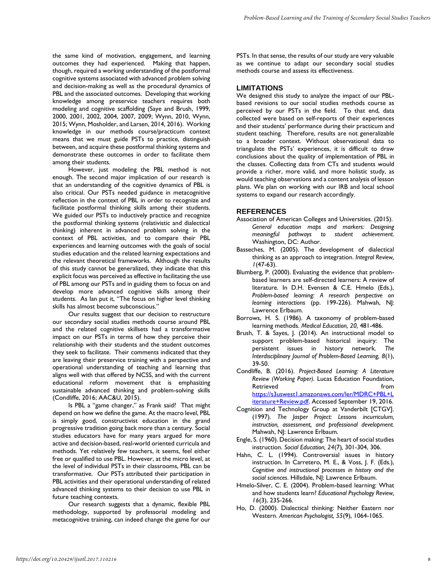the same kind of motivation, engagement, and learning outcomes they had experienced. Making that happen, though, required a working understanding of the postformal cognitive systems associated with advanced problem solving and decision-making as well as the procedural dynamics of PBL and the associated outcomes. Developing that working knowledge among preservice teachers requires both modeling and cognitive scaffolding (Saye and Brush, 1999, 2000, 2001, 2002, 2004, 2007, 2009; Wynn, 2010, Wynn, 2015; Wynn, Mosholder, and Larsen, 2014, 2016). Working knowledge in our methods course/practicum context means that we must guide PSTs to practice, distinguish between, and acquire these postformal thinking systems and demonstrate these outcomes in order to facilitate them among their students.

However, just modeling the PBL method is not enough. The second major implication of our research is that an understanding of the cognitive dynamics of PBL is also critical. Our PSTs needed guidance in metacognitive reflection in the context of PBL in order to recognize and facilitate postformal thinking skills among their students. We guided our PSTs to inductively practice and recognize the postformal thinking systems (relativistic and dialectical thinking) inherent in advanced problem solving in the context of PBL activities, and to compare their PBL experiences and learning outcomes with the goals of social studies education and the related learning expectations and the relevant theoretical frameworks. Although the results of this study cannot be generalized, they indicate that this explicit focus was perceived as effective in facilitating the use of PBL among our PSTs and in guiding them to focus on and develop more advanced cognitive skills among their students. As Ian put it, "The focus on higher level thinking skills has almost become subconscious."

Our results suggest that our decision to restructure our secondary social studies methods course around PBL and the related cognitive skillsets had a transformative impact on our PSTs in terms of how they perceive their relationship with their students and the student outcomes they seek to facilitate. Their comments indicated that they are leaving their preservice training with a perspective and operational understanding of teaching and learning that aligns well with that offered by NCSS, and with the current educational reform movement that is emphasizing sustainable advanced thinking and problem-solving skills (Condliffe, 2016; AAC&U, 2015).

Is PBL a "game changer," as Frank said? That might depend on how we define the game. At the macro level, PBL is simply good, constructivist education in the grand progressive tradition going back more than a century. Social studies educators have for many years argued for more active and decision-based, real-world oriented curricula and methods. Yet relatively few teachers, it seems, feel either free or qualified to use PBL. However, at the micro level, at the level of individual PSTs in their classrooms, PBL can be transformative. Our PSTs attributed their participation in PBL activities and their operational understanding of related advanced thinking systems to their decision to use PBL in future teaching contexts.

Our research suggests that a dynamic, flexible PBL methodology, supported by professorial modeling and metacognitive training, can indeed change the game for our PSTs. In that sense, the results of our study are very valuable as we continue to adapt our secondary social studies methods course and assess its effectiveness.

## **LIMITATIONS**

We designed this study to analyze the impact of our PBLbased revisions to our social studies methods course as perceived by our PSTs in the field. To that end, data collected were based on self-reports of their experiences and their students' performance during their practicum and student teaching. Therefore, results are not generalizable to a broader context. Without observational data to triangulate the PSTs' experiences, it is difficult to draw conclusions about the quality of implementation of PBL in the classes. Collecting data from CTs and students would provide a richer, more valid, and more holistic study, as would teaching observations and a content analysis of lesson plans. We plan on working with our IRB and local school systems to expand our research accordingly.

#### **REFERENCES**

- Association of American Colleges and Universities. (2015). *General education maps and markers: Designing meaningful pathways to student achievement.*  Washington, DC: Author.
- Basseches, M. (2005). The development of dialectical thinking as an approach to integration. *Integral Review, 1*(47-63).
- Blumberg, P. (2000). Evaluating the evidence that problembased learners are self-directed learners: A review of literature. In D.H. Evensen & C.E. Hmelo (Eds.), *Problem-based learning: A research perspective on learning interactions* (pp. 199-226). Mahwah, NJ: Lawrence Erlbaum.
- Borrows, H. S. (1986). A taxonomy of problem-based learning methods. *Medical Education, 20,* 481-486.
- Brush, T. & Sayes, J. (2014). An instructional model to support problem-based historical inquiry: The persistent issues in history network. *The Interdisciplinary Journal of Problem-Based Learning, 8*(1), 39-50.

Condliffe, B. (2016). *Project-Based Learning: A Literature Review (Working Paper).* Lucas Education Foundation, Retrieved **from** [https://s3uswest1.amazonaws.com/ler/MDRC+PBL+L](https://s3uswest1.amazonaws.com/ler/MDRC+PBL+Literature+Review.pdf) [iterature+Review.pdf.](https://s3uswest1.amazonaws.com/ler/MDRC+PBL+Literature+Review.pdf) Accessed September 19, 2016.

- Cognition and Technology Group at Vanderbilt [CTGV]. (1997). *The Jasper Project: Lessons incurriculum, instruction, assessment, and professional development.* Mahwah, NJ: Lawrence Erlbaum.
- Engle, S. (1960). Decision making: The heart of social studies instruction. *Social Education, 24*(7)*,* 301-304, 306.
- Hahn, C. L. (1994). Controversial issues in history instruction. In Carretero, M. E., & Voss, J. F. (Eds.), *Cognitive and instructional processes in history and the social sciences*. Hillsdale, NJ: Lawrence Erlbaum.
- Hmelo-Silver, C. E. (2004). Problem-based learning: What and how students learn? *Educational Psychology Review, 16*(3), 235-266.
- Ho, D. (2000). Dialectical thinking: Neither Eastern nor Western. *American Psychologist, 55*(9), 1064-1065.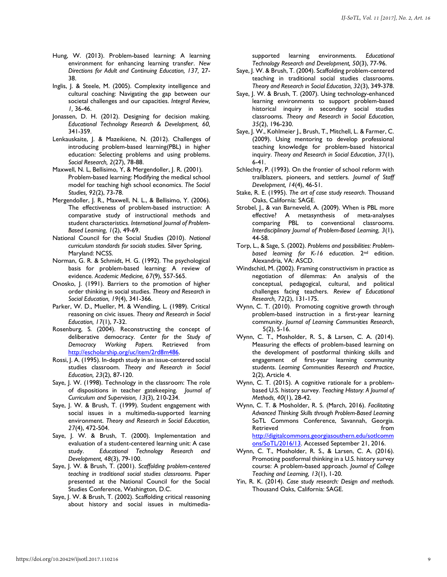- Hung, W. (2013). Problem-based learning: A learning environment for enhancing learning transfer. *New Directions for Adult and Continuing Education, 137,* 27- 38.
- Inglis, J. & Steele, M. (2005). Complexity intelligence and cultural coaching: Navigating the gap between our societal challenges and our capacities. *Integral Review, 1,* 36-46.
- Jonassen, D. H. (2012). Designing for decision making. *Educational Technology Research & Development, 60,*  341-359.
- Lenkauskaite, J. & Mazeikiene, N. (2012). Challenges of introducing problem-based learning(PBL) in higher education: Selecting problems and using problems. *Social Research, 2*(27), 78-88.
- Maxwell, N. L, Bellisimo, Y, & Mergendoller, J. R. (2001). Problem-based learning: Modifying the medical school model for teaching high school economics. *The Social Studies, 92*(2), 73-78.
- Mergendoller, J. R., Maxwell, N. L., & Bellisimo, Y. (2006). The effectiveness of problem-based instruction: A comparative study of instructional methods and student characteristics. *International Journal of Problem-Based Learning, 1*(2), 49-69.
- National Council for the Social Studies (2010). *National curriculum standards for socials studies.* Silver Spring, Maryland: NCSS.
- Norman, G. R. & Schmidt, H. G. (1992). The psychological basis for problem-based learning: A review of evidence. *Academic Medicine, 67*(9), 557-565.
- Onosko, J. (1991). Barriers to the promotion of higher order thinking in social studies. *Theory and Research in Social Education, 19*(4), 341-366.
- Parker, W. D., Mueller, M. & Wendling, L. (1989). Critical reasoning on civic issues. *Theory and Research in Social Education, 17*(1), 7-32.
- Rosenburg, S. (2004). Reconstructing the concept of deliberative democracy. *Center for the Study of Democracy Working Papers.* Retrieved from [http://escholarship.org/uc/item/2rd8m486.](http://escholarship.org/uc/item/2rd8m486)
- Rossi, J. A. (1995). In-depth study in an issue-centered social studies classroom. *Theory and Research in Social Education, 23*(2), 87-120.
- Saye, J. W. (1998). Technology in the classroom: The role of dispositions in teacher gatekeeping. *Journal of Curriculum and Supervision, 13*(3), 210-234.
- Saye, J. W. & Brush, T. (1999). Student engagement with social issues in a multimedia-supported learning environment. *Theory and Research in Social Education, 27*(4), 472-504.
- Saye, J. W. & Brush, T. (2000). Implementation and evaluation of a student-centered learning unit: A case study. *Educational Technology Research and Development, 48*(3), 79-100.
- Saye, J. W. & Brush, T. (2001). *Scaffolding problem-centered teaching in traditional social studies classrooms.* Paper presented at the National Council for the Social Studies Conference, Washington, D.C.
- Saye, J. W. & Brush, T. (2002). Scaffolding critical reasoning about history and social issues in multimedia-

supported learning environments. *Educational Technology Research and Development, 50*(3), 77-96.

- Saye, J. W. & Brush, T. (2004). Scaffolding problem-centered teaching in traditional social studies classrooms. *Theory and Research in Social Education, 32*(3), 349-378.
- Saye, J. W. & Brush, T. (2007). Using technology-enhanced learning environments to support problem-based historical inquiry in secondary social studies classrooms. *Theory and Research in Social Education, 35*(2), 196-230.
- Saye, J. W., Kohlmeier J., Brush, T., Mitchell, L. & Farmer, C. (2009). Using mentoring to develop professional teaching knowledge for problem-based historical inquiry. *Theory and Research in Social Education*, *37*(1), 6-41.
- Schlechty, P. (1993). On the frontier of school reform with trailblazers, pioneers, and settlers. *Journal of Staff Development, 14*(4), 46-51.
- Stake, R. E. (1995). *The art of case study research*. Thousand Oaks, California: SAGE.
- Strobel, J., & van Barneveld, A. (2009). When is PBL more effective? A metasynthesis of meta-analyses comparing PBL to conventional classrooms. *Interdisciplinary Journal of Problem-Based Learning, 3*(1), 44-58.
- Torp, L., & Sage, S. (2002). *Problems and possibilities: Problembased learning for K-16 education*. 2nd edition. Alexandria, VA: ASCD.
- Windschitl, M. (2002). Framing constructivism in practice as negotiation of dilemmas: An analysis of the conceptual, pedagogical, cultural, and political challenges facing teachers. *Review of Educational Research, 72*(2), 131-175.
- Wynn, C. T. (2010). Promoting cognitive growth through problem-based instruction in a first-year learning community. *Journal of Learning Communities Research*, 5(2), 5-16.
- Wynn, C. T., Mosholder, R. S., & Larsen, C. A. (2014). Measuring the effects of problem-based learning on the development of postformal thinking skills and engagement of first-year learning community students. *Learning Communities Research and Practice*, 2(2), Article 4.
- Wynn, C. T. (2015). A cognitive rationale for a problembased U.S. history survey. *Teaching History: A Journal of Methods, 40*(1), 28-42.
- Wynn, C. T. & Mosholder, R. S. (March, 2016). *Facilitating Advanced Thinking Skills through Problem-Based Learning* SoTL Commons Conference, Savannah, Georgia. Retrieved **from** [http://digitalcommons.georgiasouthern.edu/sotlcomm](http://digitalcommons.georgiasouthern.edu/sotlcommons/SoTL/2016/13) [ons/SoTL/2016/13.](http://digitalcommons.georgiasouthern.edu/sotlcommons/SoTL/2016/13) Accessed September 21, 2016.
- Wynn, C. T., Mosholder, R. S., & Larsen, C. A. (2016). Promoting postformal thinking in a U.S. history survey course: A problem-based approach. *Journal of College Teaching and Learning, 13*(1), 1-20.
- Yin, R. K. (2014). *Case study research: Design and methods.*  Thousand Oaks, California: SAGE.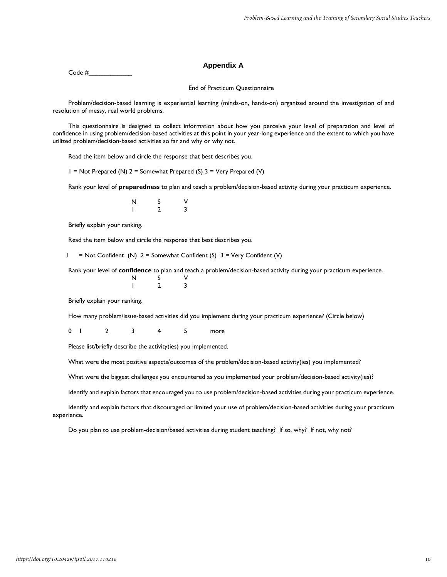Code #\_\_\_\_\_\_\_\_\_\_\_\_

#### **Appendix A**

#### End of Practicum Questionnaire

Problem/decision-based learning is experiential learning (minds-on, hands-on) organized around the investigation of and resolution of messy, real world problems.

This questionnaire is designed to collect information about how you perceive your level of preparation and level of confidence in using problem/decision-based activities at this point in your year-long experience and the extent to which you have utilized problem/decision-based activities so far and why or why not.

Read the item below and circle the response that best describes you.

 $1 = Not$  Prepared (N)  $2 =$  Somewhat Prepared (S)  $3 =$  Very Prepared (V)

Rank your level of **preparedness** to plan and teach a problem/decision-based activity during your practicum experience.

| N | S                   | $\vee$                  |
|---|---------------------|-------------------------|
|   | $\overline{2}$<br>- | $\overline{\mathbf{3}}$ |

Briefly explain your ranking.

Read the item below and circle the response that best describes you.

 $1 = Not$  Confident (N)  $2 =$  Somewhat Confident (S)  $3 =$  Very Confident (V)

Rank your level of **confidence** to plan and teach a problem/decision-based activity during your practicum experience.

| N | S              | $\vee$         |
|---|----------------|----------------|
|   | $\overline{2}$ | $\overline{3}$ |

Briefly explain your ranking.

How many problem/issue-based activities did you implement during your practicum experience? (Circle below)

0 1 2 3 4 5 more

Please list/briefly describe the activity(ies) you implemented.

What were the most positive aspects/outcomes of the problem/decision-based activity(ies) you implemented?

What were the biggest challenges you encountered as you implemented your problem/decision-based activity(ies)?

Identify and explain factors that encouraged you to use problem/decision-based activities during your practicum experience.

Identify and explain factors that discouraged or limited your use of problem/decision-based activities during your practicum experience.

Do you plan to use problem-decision/based activities during student teaching? If so, why? If not, why not?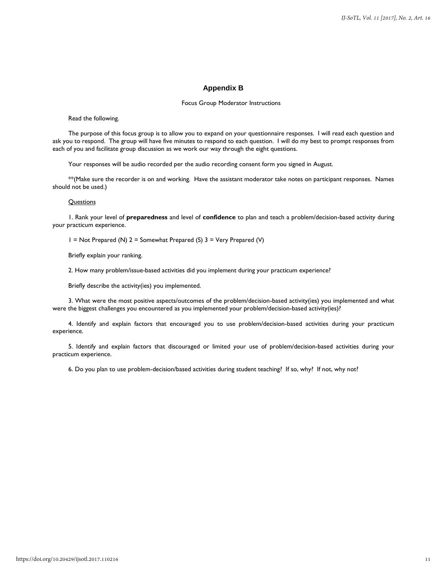#### **Appendix B**

#### Focus Group Moderator Instructions

#### Read the following.

The purpose of this focus group is to allow you to expand on your questionnaire responses. I will read each question and ask you to respond. The group will have five minutes to respond to each question. I will do my best to prompt responses from each of you and facilitate group discussion as we work our way through the eight questions.

Your responses will be audio recorded per the audio recording consent form you signed in August.

\*\*(Make sure the recorder is on and working. Have the assistant moderator take notes on participant responses. Names should not be used.)

#### **Questions**

1. Rank your level of **preparedness** and level of **confidence** to plan and teach a problem/decision-based activity during your practicum experience.

1 = Not Prepared (N) 2 = Somewhat Prepared (S) 3 = Very Prepared (V)

Briefly explain your ranking.

2. How many problem/issue-based activities did you implement during your practicum experience?

Briefly describe the activity(ies) you implemented.

3. What were the most positive aspects/outcomes of the problem/decision-based activity(ies) you implemented and what were the biggest challenges you encountered as you implemented your problem/decision-based activity(ies)?

4. Identify and explain factors that encouraged you to use problem/decision-based activities during your practicum experience.

5. Identify and explain factors that discouraged or limited your use of problem/decision-based activities during your practicum experience.

6. Do you plan to use problem-decision/based activities during student teaching? If so, why? If not, why not?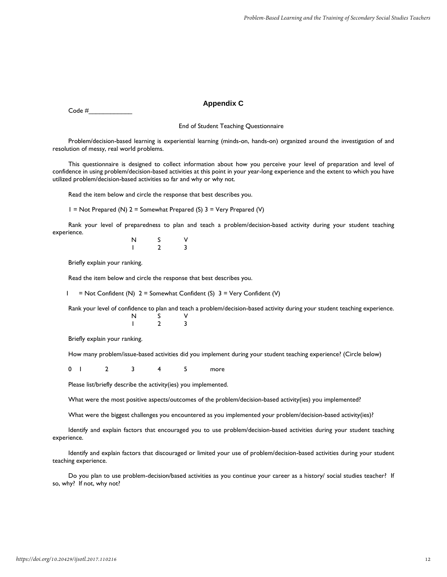#### **Appendix C**

Code #\_\_\_\_\_\_\_\_\_\_\_\_

End of Student Teaching Questionnaire

Problem/decision-based learning is experiential learning (minds-on, hands-on) organized around the investigation of and resolution of messy, real world problems.

This questionnaire is designed to collect information about how you perceive your level of preparation and level of confidence in using problem/decision-based activities at this point in your year-long experience and the extent to which you have utilized problem/decision-based activities so far and why or why not.

Read the item below and circle the response that best describes you.

 $1 = Not$  Prepared (N)  $2 =$  Somewhat Prepared (S)  $3 =$  Very Prepared (V)

Rank your level of preparedness to plan and teach a problem/decision-based activity during your student teaching experience.

N S V 1 2 3

Briefly explain your ranking.

Read the item below and circle the response that best describes you.

 $1 = Not$  Confident (N)  $2 =$  Somewhat Confident (S)  $3 =$  Very Confident (V)

Rank your level of confidence to plan and teach a problem/decision-based activity during your student teaching experience. N S V

Briefly explain your ranking.

How many problem/issue-based activities did you implement during your student teaching experience? (Circle below)

0 1 2 3 4 5 more

1 2 3

Please list/briefly describe the activity(ies) you implemented.

What were the most positive aspects/outcomes of the problem/decision-based activity(ies) you implemented?

What were the biggest challenges you encountered as you implemented your problem/decision-based activity(ies)?

Identify and explain factors that encouraged you to use problem/decision-based activities during your student teaching experience.

Identify and explain factors that discouraged or limited your use of problem/decision-based activities during your student teaching experience.

Do you plan to use problem-decision/based activities as you continue your career as a history/ social studies teacher? If so, why? If not, why not?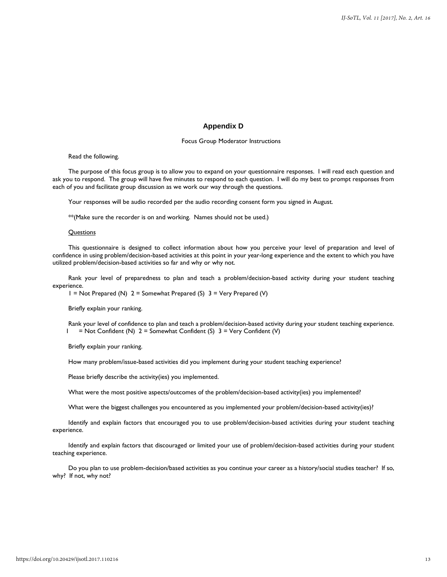## **Appendix D**

#### Focus Group Moderator Instructions

#### Read the following.

The purpose of this focus group is to allow you to expand on your questionnaire responses. I will read each question and ask you to respond. The group will have five minutes to respond to each question. I will do my best to prompt responses from each of you and facilitate group discussion as we work our way through the questions.

Your responses will be audio recorded per the audio recording consent form you signed in August.

\*\*(Make sure the recorder is on and working. Names should not be used.)

#### **Questions**

This questionnaire is designed to collect information about how you perceive your level of preparation and level of confidence in using problem/decision-based activities at this point in your year-long experience and the extent to which you have utilized problem/decision-based activities so far and why or why not.

Rank your level of preparedness to plan and teach a problem/decision-based activity during your student teaching experience.

1 = Not Prepared (N) 2 = Somewhat Prepared (S) 3 = Very Prepared (V)

Briefly explain your ranking.

Rank your level of confidence to plan and teach a problem/decision-based activity during your student teaching experience. 1 = Not Confident (N) 2 = Somewhat Confident (S) 3 = Very Confident (V)

Briefly explain your ranking.

How many problem/issue-based activities did you implement during your student teaching experience?

Please briefly describe the activity(ies) you implemented.

What were the most positive aspects/outcomes of the problem/decision-based activity(ies) you implemented?

What were the biggest challenges you encountered as you implemented your problem/decision-based activity(ies)?

Identify and explain factors that encouraged you to use problem/decision-based activities during your student teaching experience.

Identify and explain factors that discouraged or limited your use of problem/decision-based activities during your student teaching experience.

Do you plan to use problem-decision/based activities as you continue your career as a history/social studies teacher? If so, why? If not, why not?